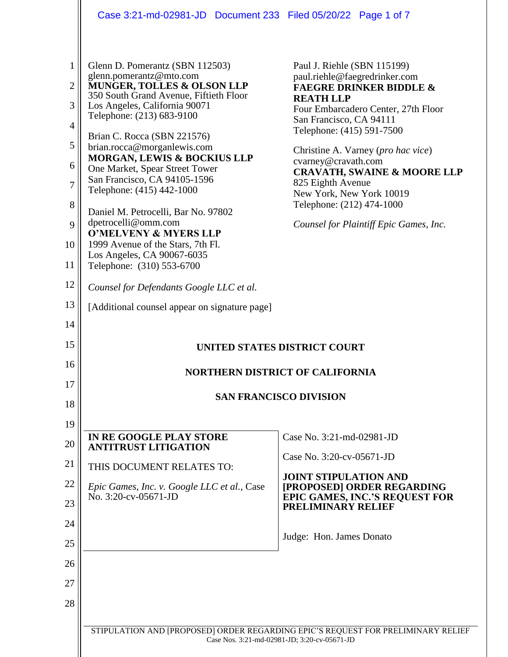|                | Case 3:21-md-02981-JD  Document 233  Filed 05/20/22  Page 1 of 7      |                                                                                                                                  |  |  |
|----------------|-----------------------------------------------------------------------|----------------------------------------------------------------------------------------------------------------------------------|--|--|
|                |                                                                       |                                                                                                                                  |  |  |
| 1              | Glenn D. Pomerantz (SBN 112503)<br>glenn.pomerantz@mto.com            | Paul J. Riehle (SBN 115199)<br>paul.riehle@faegredrinker.com                                                                     |  |  |
| $\overline{2}$ | MUNGER, TOLLES & OLSON LLP<br>350 South Grand Avenue, Fiftieth Floor  | <b>FAEGRE DRINKER BIDDLE &amp;</b><br><b>REATH LLP</b>                                                                           |  |  |
| 3              | Los Angeles, California 90071<br>Telephone: (213) 683-9100            | Four Embarcadero Center, 27th Floor<br>San Francisco, CA 94111                                                                   |  |  |
| $\overline{4}$ | Brian C. Rocca (SBN 221576)                                           | Telephone: (415) 591-7500                                                                                                        |  |  |
| 5<br>6         | brian.rocca@morganlewis.com<br>MORGAN, LEWIS & BOCKIUS LLP            | Christine A. Varney (pro hac vice)<br>cvarney@cravath.com                                                                        |  |  |
| $\overline{7}$ | One Market, Spear Street Tower<br>San Francisco, CA 94105-1596        | <b>CRAVATH, SWAINE &amp; MOORE LLP</b><br>825 Eighth Avenue                                                                      |  |  |
| 8              | Telephone: (415) 442-1000                                             | New York, New York 10019<br>Telephone: (212) 474-1000                                                                            |  |  |
| 9              | Daniel M. Petrocelli, Bar No. 97802<br>dpetrocelli@omm.com            | Counsel for Plaintiff Epic Games, Inc.                                                                                           |  |  |
| 10             | <b>O'MELVENY &amp; MYERS LLP</b><br>1999 Avenue of the Stars, 7th Fl. |                                                                                                                                  |  |  |
| 11             | Los Angeles, CA 90067-6035<br>Telephone: (310) 553-6700               |                                                                                                                                  |  |  |
| 12             | Counsel for Defendants Google LLC et al.                              |                                                                                                                                  |  |  |
| 13             | [Additional counsel appear on signature page]                         |                                                                                                                                  |  |  |
| 14             |                                                                       |                                                                                                                                  |  |  |
| 15             |                                                                       | <b>UNITED STATES DISTRICT COURT</b>                                                                                              |  |  |
| 16<br>17       |                                                                       | <b>NORTHERN DISTRICT OF CALIFORNIA</b>                                                                                           |  |  |
| 18             | <b>SAN FRANCISCO DIVISION</b>                                         |                                                                                                                                  |  |  |
| 19             |                                                                       |                                                                                                                                  |  |  |
| 20             | IN RE GOOGLE PLAY STORE<br><b>ANTITRUST LITIGATION</b>                | Case No. 3:21-md-02981-JD                                                                                                        |  |  |
| 21             | THIS DOCUMENT RELATES TO:                                             | Case No. 3:20-cv-05671-JD                                                                                                        |  |  |
| 22             | Epic Games, Inc. v. Google LLC et al., Case                           | <b>JOINT STIPULATION AND</b><br>[PROPOSED] ORDER REGARDING                                                                       |  |  |
| 23             | No. 3:20-cv-05671-JD                                                  | <b>EPIC GAMES, INC.'S REQUEST FOR</b><br>PRELIMINARY RELIEF                                                                      |  |  |
| 24             |                                                                       | Judge: Hon. James Donato                                                                                                         |  |  |
| 25             |                                                                       |                                                                                                                                  |  |  |
| 26             |                                                                       |                                                                                                                                  |  |  |
| 27             |                                                                       |                                                                                                                                  |  |  |
|                |                                                                       |                                                                                                                                  |  |  |
| 28             |                                                                       |                                                                                                                                  |  |  |
|                |                                                                       | STIPULATION AND [PROPOSED] ORDER REGARDING EPIC'S REQUEST FOR PRELIMINARY RELIEF<br>Case Nos. 3:21-md-02981-JD; 3:20-cv-05671-JD |  |  |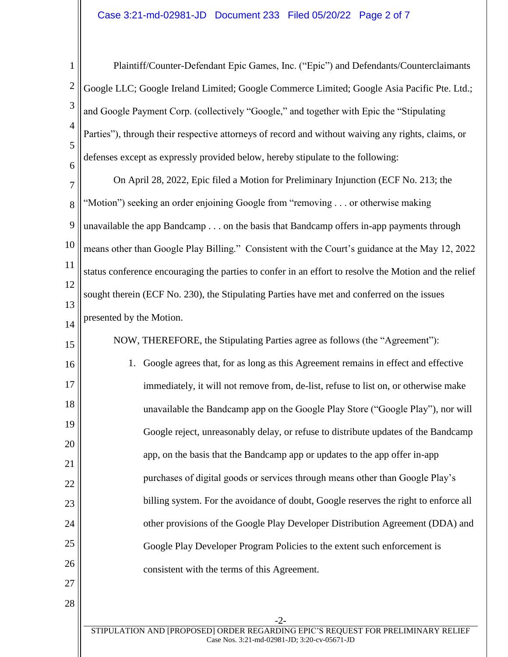1 2 3 4 5 6 Plaintiff/Counter-Defendant Epic Games, Inc. ("Epic") and Defendants/Counterclaimants Google LLC; Google Ireland Limited; Google Commerce Limited; Google Asia Pacific Pte. Ltd.; and Google Payment Corp. (collectively "Google," and together with Epic the "Stipulating Parties"), through their respective attorneys of record and without waiving any rights, claims, or defenses except as expressly provided below, hereby stipulate to the following:

7 8 9 10 11 12 13 14 On April 28, 2022, Epic filed a Motion for Preliminary Injunction (ECF No. 213; the "Motion") seeking an order enjoining Google from "removing . . . or otherwise making unavailable the app Bandcamp . . . on the basis that Bandcamp offers in-app payments through means other than Google Play Billing." Consistent with the Court's guidance at the May 12, 2022 status conference encouraging the parties to confer in an effort to resolve the Motion and the relief sought therein (ECF No. 230), the Stipulating Parties have met and conferred on the issues presented by the Motion.

15 16 17 18 19 20 21 22 23 24 25 26 27 NOW, THEREFORE, the Stipulating Parties agree as follows (the "Agreement"): 1. Google agrees that, for as long as this Agreement remains in effect and effective immediately, it will not remove from, de-list, refuse to list on, or otherwise make unavailable the Bandcamp app on the Google Play Store ("Google Play"), nor will Google reject, unreasonably delay, or refuse to distribute updates of the Bandcamp app, on the basis that the Bandcamp app or updates to the app offer in-app purchases of digital goods or services through means other than Google Play's billing system. For the avoidance of doubt, Google reserves the right to enforce all other provisions of the Google Play Developer Distribution Agreement (DDA) and Google Play Developer Program Policies to the extent such enforcement is consistent with the terms of this Agreement.

28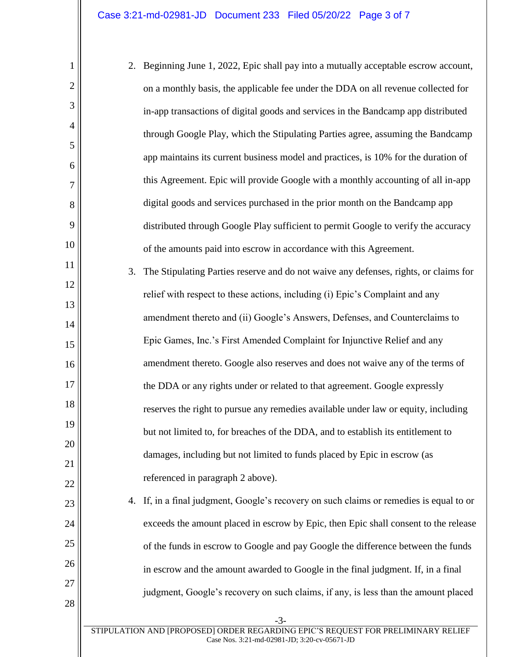1

2

3

4

5

6

7

8

9

10

11

12

13

14

15

16

17

18

19

20

21

22

23

24

25

26

27

28

2. Beginning June 1, 2022, Epic shall pay into a mutually acceptable escrow account, on a monthly basis, the applicable fee under the DDA on all revenue collected for in-app transactions of digital goods and services in the Bandcamp app distributed through Google Play, which the Stipulating Parties agree, assuming the Bandcamp app maintains its current business model and practices, is 10% for the duration of this Agreement. Epic will provide Google with a monthly accounting of all in-app digital goods and services purchased in the prior month on the Bandcamp app distributed through Google Play sufficient to permit Google to verify the accuracy of the amounts paid into escrow in accordance with this Agreement. 3. The Stipulating Parties reserve and do not waive any defenses, rights, or claims for relief with respect to these actions, including (i) Epic's Complaint and any amendment thereto and (ii) Google's Answers, Defenses, and Counterclaims to Epic Games, Inc.'s First Amended Complaint for Injunctive Relief and any amendment thereto. Google also reserves and does not waive any of the terms of the DDA or any rights under or related to that agreement. Google expressly reserves the right to pursue any remedies available under law or equity, including but not limited to, for breaches of the DDA, and to establish its entitlement to damages, including but not limited to funds placed by Epic in escrow (as referenced in paragraph 2 above). 4. If, in a final judgment, Google's recovery on such claims or remedies is equal to or exceeds the amount placed in escrow by Epic, then Epic shall consent to the release of the funds in escrow to Google and pay Google the difference between the funds

in escrow and the amount awarded to Google in the final judgment. If, in a final

judgment, Google's recovery on such claims, if any, is less than the amount placed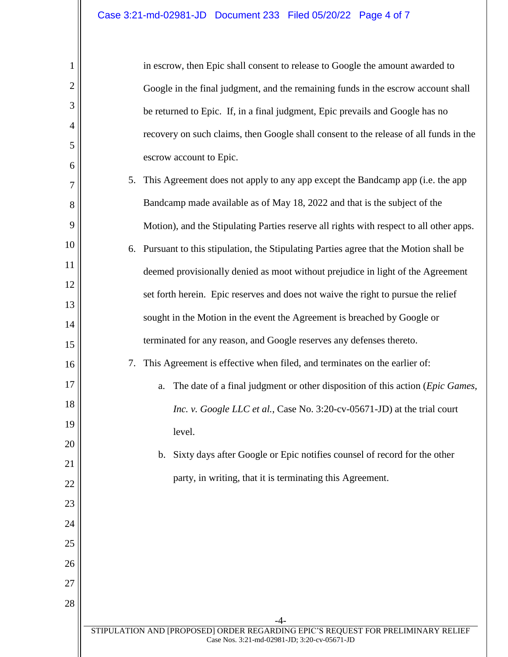1

2

3

4

5

6

7

8

9

10

11

12

13

14

15

16

17

18

19

20

21

22

23

24

25

26

27

28

| in escrow, then Epic shall consent to release to Google the amount awarded to         |  |
|---------------------------------------------------------------------------------------|--|
| Google in the final judgment, and the remaining funds in the escrow account shall     |  |
| be returned to Epic. If, in a final judgment, Epic prevails and Google has no         |  |
| recovery on such claims, then Google shall consent to the release of all funds in the |  |
| escrow account to Epic.                                                               |  |

- 5. This Agreement does not apply to any app except the Bandcamp app (i.e. the app Bandcamp made available as of May 18, 2022 and that is the subject of the Motion), and the Stipulating Parties reserve all rights with respect to all other apps.
- 6. Pursuant to this stipulation, the Stipulating Parties agree that the Motion shall be deemed provisionally denied as moot without prejudice in light of the Agreement set forth herein. Epic reserves and does not waive the right to pursue the relief sought in the Motion in the event the Agreement is breached by Google or terminated for any reason, and Google reserves any defenses thereto.
	- 7. This Agreement is effective when filed, and terminates on the earlier of:
	- a. The date of a final judgment or other disposition of this action (*Epic Games, Inc. v. Google LLC et al.*, Case No. 3:20-cv-05671-JD) at the trial court level.
		- b. Sixty days after Google or Epic notifies counsel of record for the other party, in writing, that it is terminating this Agreement.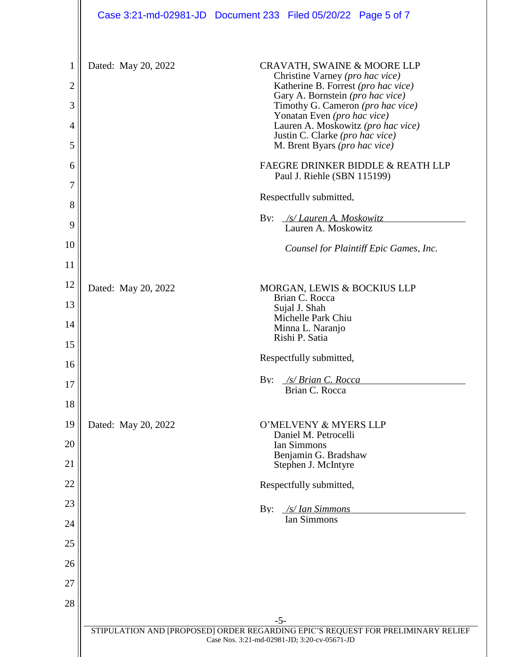|                     |                     | Case 3:21-md-02981-JD  Document 233  Filed 05/20/22  Page 5 of 7                                                                          |
|---------------------|---------------------|-------------------------------------------------------------------------------------------------------------------------------------------|
| 1<br>$\overline{2}$ | Dated: May 20, 2022 | CRAVATH, SWAINE & MOORE LLP<br>Christine Varney (pro hac vice)<br>Katherine B. Forrest (pro hac vice)<br>Gary A. Bornstein (pro hac vice) |
| 3                   |                     | Timothy G. Cameron (pro hac vice)<br>Yonatan Even (pro hac vice)                                                                          |
| $\overline{4}$      |                     | Lauren A. Moskowitz (pro hac vice)<br>Justin C. Clarke (pro hac vice)                                                                     |
| 5<br>6              |                     | M. Brent Byars (pro hac vice)<br>FAEGRE DRINKER BIDDLE & REATH LLP                                                                        |
| 7                   |                     | Paul J. Riehle (SBN 115199)                                                                                                               |
| 8                   |                     | Respectfully submitted,                                                                                                                   |
| 9                   |                     | /s/ Lauren A. Moskowitz<br>By:<br>Lauren A. Moskowitz                                                                                     |
| 10                  |                     | Counsel for Plaintiff Epic Games, Inc.                                                                                                    |
| 11                  |                     |                                                                                                                                           |
| 12<br>13            | Dated: May 20, 2022 | MORGAN, LEWIS & BOCKIUS LLP<br>Brian C. Rocca                                                                                             |
| 14                  |                     | Sujal J. Shah<br>Michelle Park Chiu<br>Minna L. Naranjo                                                                                   |
| 15                  |                     | Rishi P. Satia                                                                                                                            |
| 16                  |                     | Respectfully submitted,                                                                                                                   |
| 17                  |                     | By:<br>/s/ Brian C. Rocca<br>Brian C. Rocca                                                                                               |
| 18                  |                     |                                                                                                                                           |
| 19                  | Dated: May 20, 2022 | O'MELVENY & MYERS LLP                                                                                                                     |
| 20                  |                     | Daniel M. Petrocelli<br>Ian Simmons                                                                                                       |
| 21                  |                     | Benjamin G. Bradshaw<br>Stephen J. McIntyre                                                                                               |
| 22                  |                     | Respectfully submitted,                                                                                                                   |
| 23                  |                     | /s/ Ian Simmons<br>$\rm\,By:$                                                                                                             |
| 24                  |                     | Ian Simmons                                                                                                                               |
| 25                  |                     |                                                                                                                                           |
| 26                  |                     |                                                                                                                                           |
| 27                  |                     |                                                                                                                                           |
| 28                  |                     |                                                                                                                                           |
|                     |                     | $-5-$<br>STIPULATION AND [PROPOSED] ORDER REGARDING EPIC'S REQUEST FOR PRELIMINARY RELIEF                                                 |
|                     |                     | Case Nos. 3:21-md-02981-JD; 3:20-cv-05671-JD                                                                                              |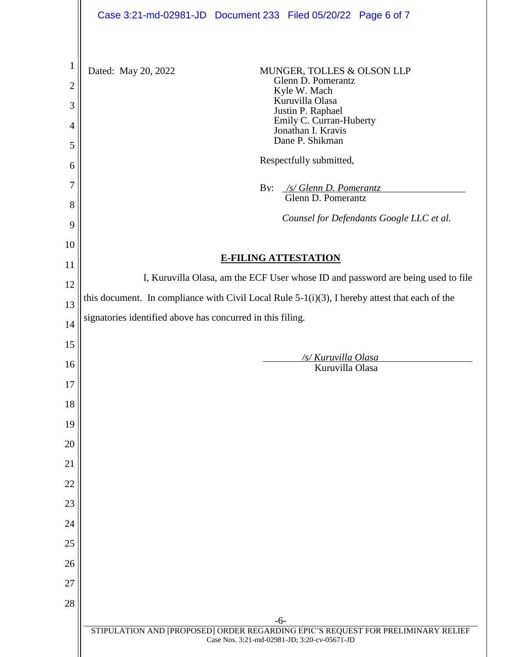|                                     | Case 3:21-md-02981-JD Document 233 Filed 05/20/22 Page 6 of 7                                                                   |  |
|-------------------------------------|---------------------------------------------------------------------------------------------------------------------------------|--|
| $\mathbf{1}$<br>$\overline{2}$<br>3 | Dated: May 20, 2022<br>MUNGER, TOLLES & OLSON LLP<br>Glenn D. Pomerantz<br>Kyle W. Mach<br>Kuruvilla Olasa<br>Justin P. Raphael |  |
| $\overline{4}$                      | Emily C. Curran-Huberty<br>Jonathan I. Kravis<br>Dane P. Shikman                                                                |  |
| 5<br>6                              | Respectfully submitted,                                                                                                         |  |
| 7                                   |                                                                                                                                 |  |
| 8                                   | By: /s/ Glenn D. Pomerantz<br>Glenn D. Pomerantz                                                                                |  |
| 9                                   | Counsel for Defendants Google LLC et al.                                                                                        |  |
| 10                                  |                                                                                                                                 |  |
| 11                                  | <b>E-FILING ATTESTATION</b>                                                                                                     |  |
| 12                                  | I, Kuruvilla Olasa, am the ECF User whose ID and password are being used to file                                                |  |
| 13                                  | this document. In compliance with Civil Local Rule $5-1(i)(3)$ , I hereby attest that each of the                               |  |
| 14                                  | signatories identified above has concurred in this filing.                                                                      |  |
| 15                                  |                                                                                                                                 |  |
| 16                                  | /s/ Kuruvilla Olasa<br>Kuruvilla Olasa                                                                                          |  |
| 17                                  |                                                                                                                                 |  |
| 18                                  |                                                                                                                                 |  |
| 19                                  |                                                                                                                                 |  |
| 20                                  |                                                                                                                                 |  |
| 21                                  |                                                                                                                                 |  |
| 22                                  |                                                                                                                                 |  |
| 23                                  |                                                                                                                                 |  |
| 24                                  |                                                                                                                                 |  |
| 25                                  |                                                                                                                                 |  |
| 26                                  |                                                                                                                                 |  |
| 27                                  |                                                                                                                                 |  |
| 28                                  |                                                                                                                                 |  |
|                                     | $-6-$<br>STIPULATION AND [PROPOSED] ORDER REGARDING EPIC'S REQUEST FOR PRELIMINARY RELIEF                                       |  |
|                                     | Case Nos. 3:21-md-02981-JD; 3:20-cv-05671-JD                                                                                    |  |